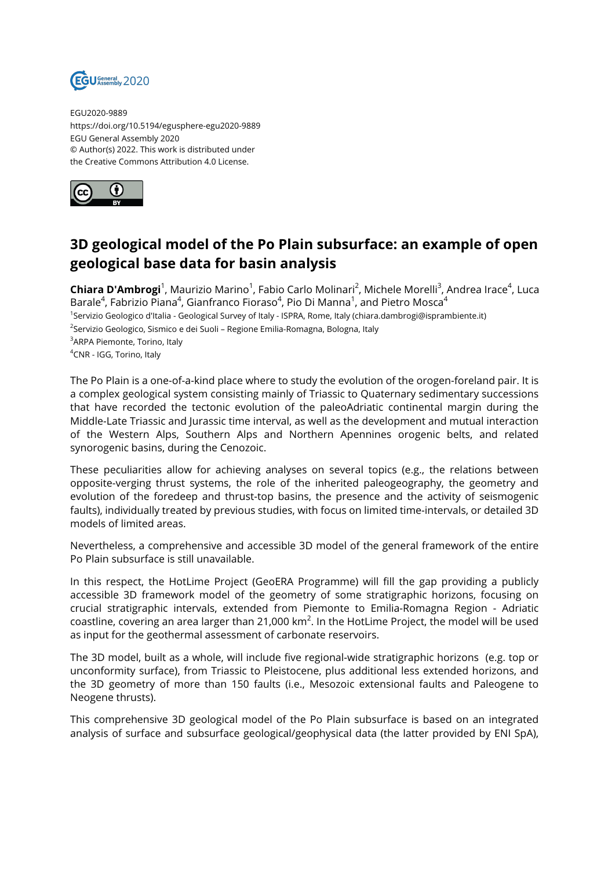

EGU2020-9889 https://doi.org/10.5194/egusphere-egu2020-9889 EGU General Assembly 2020 © Author(s) 2022. This work is distributed under the Creative Commons Attribution 4.0 License.



## **3D geological model of the Po Plain subsurface: an example of open geological base data for basin analysis**

**Chiara D'Ambrogi**<sup>1</sup>, Maurizio Marino<sup>1</sup>, Fabio Carlo Molinari<sup>2</sup>, Michele Morelli<sup>3</sup>, Andrea Irace<sup>4</sup>, Luca Barale $^4$ , Fabrizio Piana $^4$ , Gianfranco Fioraso $^4$ , Pio Di Manna $^1$ , and Pietro Mosca $^4$ <sup>1</sup>Servizio Geologico d'Italia - Geological Survey of Italy - ISPRA, Rome, Italy (chiara.dambrogi@isprambiente.it) <sup>2</sup>Servizio Geologico, Sismico e dei Suoli – Regione Emilia-Romagna, Bologna, Italy <sup>3</sup>ARPA Piemonte, Torino, Italy <sup>4</sup>CNR - IGG, Torino, Italy

The Po Plain is a one-of-a-kind place where to study the evolution of the orogen-foreland pair. It is a complex geological system consisting mainly of Triassic to Quaternary sedimentary successions that have recorded the tectonic evolution of the paleoAdriatic continental margin during the Middle-Late Triassic and Jurassic time interval, as well as the development and mutual interaction of the Western Alps, Southern Alps and Northern Apennines orogenic belts, and related synorogenic basins, during the Cenozoic.

These peculiarities allow for achieving analyses on several topics (e.g., the relations between opposite-verging thrust systems, the role of the inherited paleogeography, the geometry and evolution of the foredeep and thrust-top basins, the presence and the activity of seismogenic faults), individually treated by previous studies, with focus on limited time-intervals, or detailed 3D models of limited areas.

Nevertheless, a comprehensive and accessible 3D model of the general framework of the entire Po Plain subsurface is still unavailable.

In this respect, the HotLime Project (GeoERA Programme) will fill the gap providing a publicly accessible 3D framework model of the geometry of some stratigraphic horizons, focusing on crucial stratigraphic intervals, extended from Piemonte to Emilia-Romagna Region - Adriatic coastline, covering an area larger than 21,000 km $^2$ . In the HotLime Project, the model will be used as input for the geothermal assessment of carbonate reservoirs.

The 3D model, built as a whole, will include five regional-wide stratigraphic horizons (e.g. top or unconformity surface), from Triassic to Pleistocene, plus additional less extended horizons, and the 3D geometry of more than 150 faults (i.e., Mesozoic extensional faults and Paleogene to Neogene thrusts).

This comprehensive 3D geological model of the Po Plain subsurface is based on an integrated analysis of surface and subsurface geological/geophysical data (the latter provided by ENI SpA),